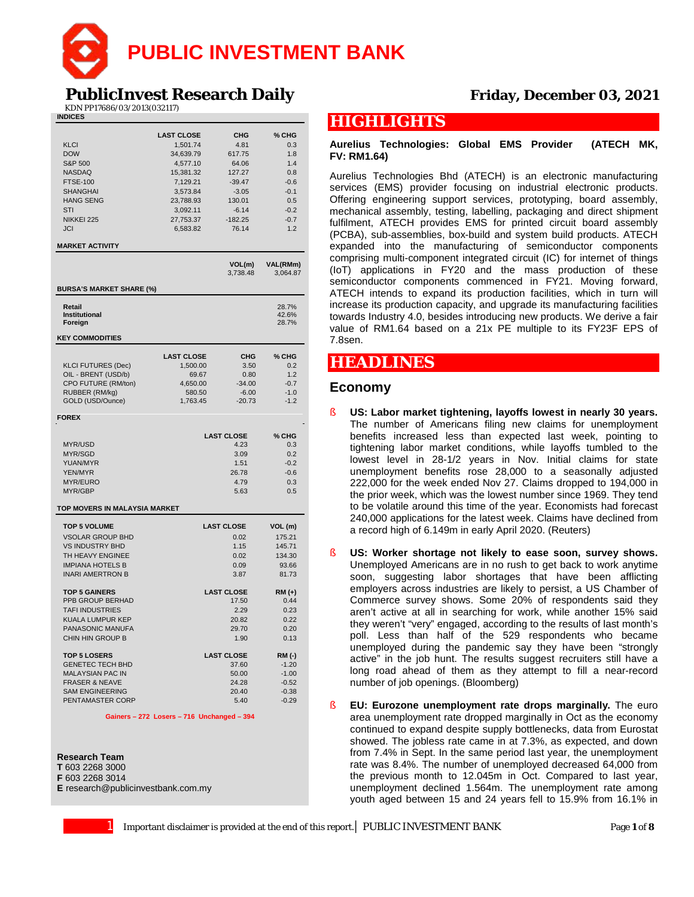

# **PublicInvest Research Daily Friday, December 03, 2021**

KDN PP17686/03/2013(032117)

| <b>INDICES</b>                  |                   |                    |                      |
|---------------------------------|-------------------|--------------------|----------------------|
|                                 | <b>LAST CLOSE</b> | CHG                | % CHG                |
| <b>KLCI</b>                     | 1,501.74          | 4.81               | 0.3                  |
| <b>DOW</b>                      | 34,639.79         | 617.75             | 1.8                  |
| S&P 500                         | 4,577.10          | 64.06              | 1.4                  |
| <b>NASDAQ</b>                   | 15,381.32         | 127.27             | 0.8                  |
| <b>FTSE-100</b>                 | 7,129.21          | $-39.47$           | $-0.6$               |
| <b>SHANGHAI</b>                 | 3,573.84          | $-3.05$            | $-0.1$               |
| <b>HANG SENG</b>                | 23,788.93         | 130.01             | 0.5                  |
| STI                             | 3,092.11          | $-6.14$            | $-0.2$               |
| NIKKEI 225                      | 27,753.37         | $-182.25$          | $-0.7$               |
| <b>JCI</b>                      | 6,583.82          | 76.14              | 1.2                  |
|                                 |                   |                    |                      |
| <b>MARKET ACTIVITY</b>          |                   |                    |                      |
|                                 |                   | VOL(m)<br>3,738.48 | VAL(RMm)<br>3,064.87 |
| <b>BURSA'S MARKET SHARE (%)</b> |                   |                    |                      |
| Retail                          |                   |                    | 28.7%                |
| Institutional                   |                   |                    | 42.6%                |
| Foreign                         |                   |                    | 28.7%                |
| <b>KEY COMMODITIES</b>          |                   |                    |                      |
|                                 | <b>LAST CLOSE</b> | CHG                | % CHG                |
| <b>KLCI FUTURES (Dec)</b>       | 1,500.00          | 3.50               | 0.2                  |
| OIL - BRENT (USD/b)             | 69.67             | 0.80               | 1.2                  |
| CPO FUTURE (RM/ton)             | 4,650.00          | $-34.00$           | $-0.7$               |
| RUBBER (RM/kg)                  | 580.50            | $-6.00$            | $-1.0$               |
| GOLD (USD/Ounce)                | 1,763.45          | $-20.73$           | $-1.2$               |
| <b>FOREX</b>                    |                   |                    |                      |
|                                 |                   |                    |                      |
|                                 |                   | <b>LAST CLOSE</b>  | % CHG                |
| MYR/USD                         |                   | 4.23               | 0.3                  |
| MYR/SGD                         |                   | 3.09               | 0.2                  |
| YUAN/MYR                        |                   | 1.51               | $-0.2$               |
| <b>YEN/MYR</b>                  |                   | 26.78              | $-0.6$               |
| MYR/EURO                        |                   | 4.79               | 0.3                  |
| MYR/GBP                         |                   | 5.63               | 0.5                  |
| TOP MOVERS IN MALAYSIA MARKET   |                   |                    |                      |
| <b>TOP 5 VOLUME</b>             |                   | <b>LAST CLOSE</b>  | VOL (m)              |
| <b>VSOLAR GROUP BHD</b>         |                   | 0.02               | 175.21               |
| <b>VS INDUSTRY BHD</b>          |                   | 1.15               | 145.71               |
| TH HEAVY ENGINEE                |                   | 0.02               | 134.30               |
| <b>IMPIANA HOTELS B</b>         |                   | 0.09               | 93.66                |
| <b>INARI AMERTRON B</b>         |                   | 3.87               | 81.73                |
| <b>TOP 5 GAINERS</b>            |                   | <b>LAST CLOSE</b>  | RM (+)               |
| PPB GROUP BERHAD                |                   | 17.50              | 0.44                 |
| <b>TAFI INDUSTRIES</b>          |                   | 2.29               | 0.23                 |
| KUALA LUMPUR KEP                |                   | 20.82              | 0.22                 |
| PANASONIC MANUFA                |                   | 29.70              | 0.20                 |
| <b>CHIN HIN GROUP B</b>         |                   | 1.90               | 0.13                 |
| <b>TOP 5 LOSERS</b>             |                   | <b>LAST CLOSE</b>  | RM (-)               |
| <b>GENETEC TECH BHD</b>         |                   | 37.60              | $-1.20$              |
| <b>MALAYSIAN PAC IN</b>         |                   | 50.00              | $-1.00$              |
| <b>FRASER &amp; NEAVE</b>       |                   | 24.28              | $-0.52$              |
| <b>SAM ENGINEERING</b>          |                   | 20.40              | $-0.38$              |
| PENTAMASTER CORP                |                   | 5.40               | $-0.29$              |
|                                 |                   |                    |                      |

#### **Gainers – 272 Losers – 716 Unchanged – 394**

#### **Research Team**

**T** 603 2268 3000

**F** 603 2268 3014 **E** research@publicinvestbank.com.my

# **HIGHLIGHTS**

### **Aurelius Technologies: Global EMS Provider (ATECH MK, FV: RM1.64)**

Aurelius Technologies Bhd (ATECH) is an electronic manufacturing services (EMS) provider focusing on industrial electronic products. Offering engineering support services, prototyping, board assembly, mechanical assembly, testing, labelling, packaging and direct shipment fulfilment, ATECH provides EMS for printed circuit board assembly (PCBA), sub-assemblies, box-build and system build products. ATECH expanded into the manufacturing of semiconductor components comprising multi-component integrated circuit (IC) for internet of things (IoT) applications in FY20 and the mass production of these semiconductor components commenced in FY21. Moving forward, ATECH intends to expand its production facilities, which in turn will increase its production capacity, and upgrade its manufacturing facilities towards Industry 4.0, besides introducing new products. We derive a fair value of RM1.64 based on a 21x PE multiple to its FY23F EPS of 7.8sen.

# **HEADLINES**

## **Economy**

- § **US: Labor market tightening, layoffs lowest in nearly 30 years.** The number of Americans filing new claims for unemployment benefits increased less than expected last week, pointing to tightening labor market conditions, while layoffs tumbled to the lowest level in 28-1/2 years in Nov. Initial claims for state unemployment benefits rose 28,000 to a seasonally adjusted 222,000 for the week ended Nov 27. Claims dropped to 194,000 in the prior week, which was the lowest number since 1969. They tend to be volatile around this time of the year. Economists had forecast 240,000 applications for the latest week. Claims have declined from a record high of 6.149m in early April 2020. (Reuters)
- § **US: Worker shortage not likely to ease soon, survey shows.** Unemployed Americans are in no rush to get back to work anytime soon, suggesting labor shortages that have been afflicting employers across industries are likely to persist, a US Chamber of Commerce survey shows. Some 20% of respondents said they aren't active at all in searching for work, while another 15% said they weren't "very" engaged, according to the results of last month's poll. Less than half of the 529 respondents who became unemployed during the pandemic say they have been "strongly active" in the job hunt. The results suggest recruiters still have a long road ahead of them as they attempt to fill a near-record number of job openings. (Bloomberg)
- § **EU: Eurozone unemployment rate drops marginally.** The euro area unemployment rate dropped marginally in Oct as the economy continued to expand despite supply bottlenecks, data from Eurostat showed. The jobless rate came in at 7.3%, as expected, and down from 7.4% in Sept. In the same period last year, the unemployment rate was 8.4%. The number of unemployed decreased 64,000 from the previous month to 12.045m in Oct. Compared to last year, unemployment declined 1.564m. The unemployment rate among youth aged between 15 and 24 years fell to 15.9% from 16.1% in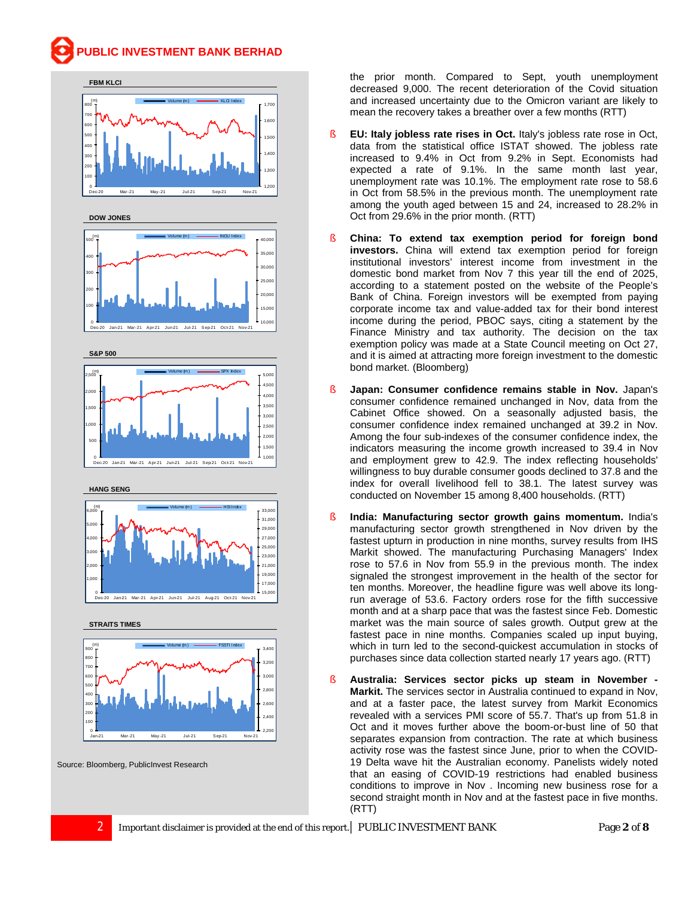

the prior month. Compared to Sept, youth unemployment decreased 9,000. The recent deterioration of the Covid situation and increased uncertainty due to the Omicron variant are likely to mean the recovery takes a breather over a few months (RTT)

- § **EU: Italy jobless rate rises in Oct.** Italy's jobless rate rose in Oct, data from the statistical office ISTAT showed. The jobless rate increased to 9.4% in Oct from 9.2% in Sept. Economists had expected a rate of 9.1%. In the same month last year, unemployment rate was 10.1%. The employment rate rose to 58.6 in Oct from 58.5% in the previous month. The unemployment rate among the youth aged between 15 and 24, increased to 28.2% in Oct from 29.6% in the prior month. (RTT)
- § **China: To extend tax exemption period for foreign bond investors.** China will extend tax exemption period for foreign institutional investors' interest income from investment in the domestic bond market from Nov 7 this year till the end of 2025, according to a statement posted on the website of the People's Bank of China. Foreign investors will be exempted from paying corporate income tax and value-added tax for their bond interest income during the period, PBOC says, citing a statement by the Finance Ministry and tax authority. The decision on the tax exemption policy was made at a State Council meeting on Oct 27, and it is aimed at attracting more foreign investment to the domestic bond market. (Bloomberg)
- § **Japan: Consumer confidence remains stable in Nov.** Japan's consumer confidence remained unchanged in Nov, data from the Cabinet Office showed. On a seasonally adjusted basis, the consumer confidence index remained unchanged at 39.2 in Nov. Among the four sub-indexes of the consumer confidence index, the indicators measuring the income growth increased to 39.4 in Nov and employment grew to 42.9. The index reflecting households' willingness to buy durable consumer goods declined to 37.8 and the index for overall livelihood fell to 38.1. The latest survey was conducted on November 15 among 8,400 households. (RTT)
- § **India: Manufacturing sector growth gains momentum.** India's manufacturing sector growth strengthened in Nov driven by the fastest upturn in production in nine months, survey results from IHS Markit showed. The manufacturing Purchasing Managers' Index rose to 57.6 in Nov from 55.9 in the previous month. The index signaled the strongest improvement in the health of the sector for ten months. Moreover, the headline figure was well above its longrun average of 53.6. Factory orders rose for the fifth successive month and at a sharp pace that was the fastest since Feb. Domestic market was the main source of sales growth. Output grew at the fastest pace in nine months. Companies scaled up input buying, which in turn led to the second-quickest accumulation in stocks of purchases since data collection started nearly 17 years ago. (RTT)
- § **Australia: Services sector picks up steam in November - Markit.** The services sector in Australia continued to expand in Nov, and at a faster pace, the latest survey from Markit Economics revealed with a services PMI score of 55.7. That's up from 51.8 in Oct and it moves further above the boom-or-bust line of 50 that separates expansion from contraction. The rate at which business activity rose was the fastest since June, prior to when the COVID-19 Delta wave hit the Australian economy. Panelists widely noted that an easing of COVID-19 restrictions had enabled business conditions to improve in Nov . Incoming new business rose for a second straight month in Nov and at the fastest pace in five months. (RTT)

Jan-21 Mar-21 May-21 Jul-21 Sep-21 Nov-21

Source: Bloomberg, PublicInvest Research

0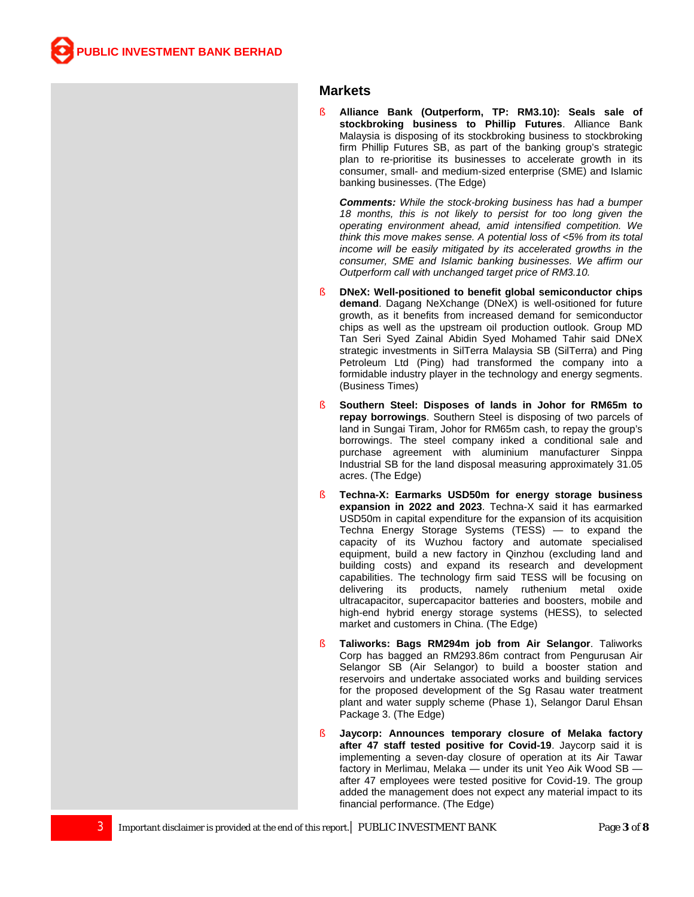### **Markets**

§ **Alliance Bank (Outperform, TP: RM3.10): Seals sale of stockbroking business to Phillip Futures**. Alliance Bank Malaysia is disposing of its stockbroking business to stockbroking firm Phillip Futures SB, as part of the banking group's strategic plan to re-prioritise its businesses to accelerate growth in its consumer, small- and medium-sized enterprise (SME) and Islamic banking businesses. (The Edge)

*Comments: While the stock-broking business has had a bumper 18 months, this is not likely to persist for too long given the operating environment ahead, amid intensified competition. We think this move makes sense. A potential loss of <5% from its total income will be easily mitigated by its accelerated growths in the consumer, SME and Islamic banking businesses. We affirm our Outperform call with unchanged target price of RM3.10.*

- § **DNeX: Well-positioned to benefit global semiconductor chips demand**. Dagang NeXchange (DNeX) is well-ositioned for future growth, as it benefits from increased demand for semiconductor chips as well as the upstream oil production outlook. Group MD Tan Seri Syed Zainal Abidin Syed Mohamed Tahir said DNeX strategic investments in SilTerra Malaysia SB (SilTerra) and Ping Petroleum Ltd (Ping) had transformed the company into a formidable industry player in the technology and energy segments. (Business Times)
- § **Southern Steel: Disposes of lands in Johor for RM65m to repay borrowings**. Southern Steel is disposing of two parcels of land in Sungai Tiram, Johor for RM65m cash, to repay the group's borrowings. The steel company inked a conditional sale and purchase agreement with aluminium manufacturer Sinppa Industrial SB for the land disposal measuring approximately 31.05 acres. (The Edge)
- § **Techna-X: Earmarks USD50m for energy storage business expansion in 2022 and 2023**. Techna-X said it has earmarked USD50m in capital expenditure for the expansion of its acquisition Techna Energy Storage Systems (TESS) — to expand the capacity of its Wuzhou factory and automate specialised equipment, build a new factory in Qinzhou (excluding land and building costs) and expand its research and development capabilities. The technology firm said TESS will be focusing on delivering its products, namely ruthenium metal oxide ultracapacitor, supercapacitor batteries and boosters, mobile and high-end hybrid energy storage systems (HESS), to selected market and customers in China. (The Edge)
- § **Taliworks: Bags RM294m job from Air Selangor**. Taliworks Corp has bagged an RM293.86m contract from Pengurusan Air Selangor SB (Air Selangor) to build a booster station and reservoirs and undertake associated works and building services for the proposed development of the Sg Rasau water treatment plant and water supply scheme (Phase 1), Selangor Darul Ehsan Package 3. (The Edge)
- § **Jaycorp: Announces temporary closure of Melaka factory after 47 staff tested positive for Covid-19**. Jaycorp said it is implementing a seven-day closure of operation at its Air Tawar factory in Merlimau, Melaka — under its unit Yeo Aik Wood SB after 47 employees were tested positive for Covid-19. The group added the management does not expect any material impact to its financial performance. (The Edge)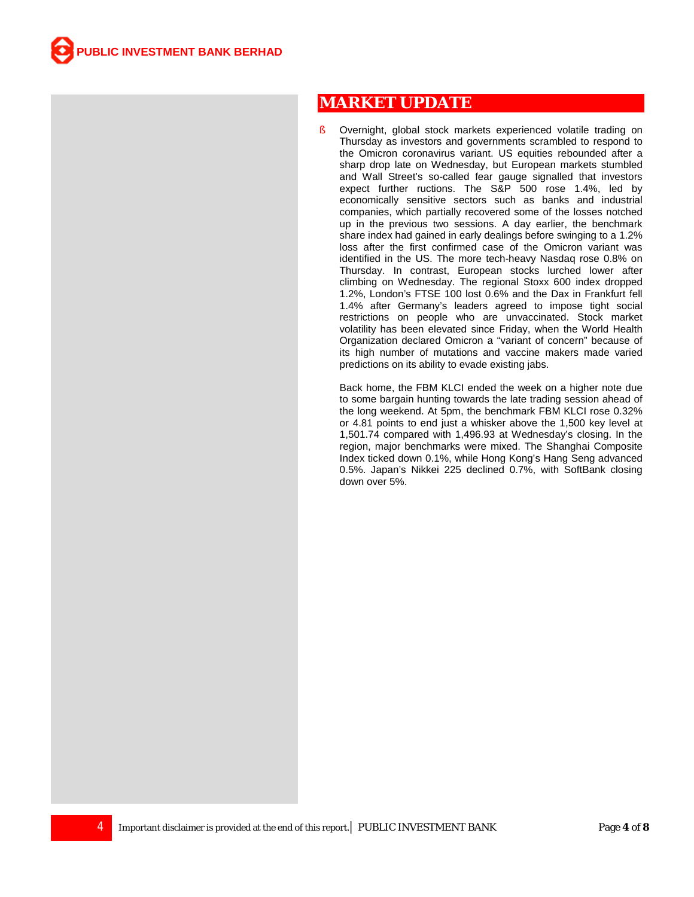# **MARKET UPDATE**

§ Overnight, global stock markets experienced volatile trading on Thursday as investors and governments scrambled to respond to the Omicron coronavirus variant. US equities rebounded after a sharp drop late on Wednesday, but European markets stumbled and Wall Street's so-called fear gauge signalled that investors expect further ructions. The S&P 500 rose 1.4%, led by economically sensitive sectors such as banks and industrial companies, which partially recovered some of the losses notched up in the previous two sessions. A day earlier, the benchmark share index had gained in early dealings before swinging to a 1.2% loss after the first confirmed case of the Omicron variant was identified in the US. The more tech-heavy Nasdaq rose 0.8% on Thursday. In contrast, European stocks lurched lower after climbing on Wednesday. The regional Stoxx 600 index dropped 1.2%, London's FTSE 100 lost 0.6% and the Dax in Frankfurt fell 1.4% after Germany's leaders agreed to impose tight social restrictions on people who are unvaccinated. Stock market volatility has been elevated since Friday, when the World Health Organization declared Omicron a "variant of concern" because of its high number of mutations and vaccine makers made varied predictions on its ability to evade existing jabs.

Back home, the FBM KLCI ended the week on a higher note due to some bargain hunting towards the late trading session ahead of the long weekend. At 5pm, the benchmark FBM KLCI rose 0.32% or 4.81 points to end just a whisker above the 1,500 key level at 1,501.74 compared with 1,496.93 at Wednesday's closing. In the region, major benchmarks were mixed. The Shanghai Composite Index ticked down 0.1%, while Hong Kong's Hang Seng advanced 0.5%. Japan's Nikkei 225 declined 0.7%, with SoftBank closing down over 5%.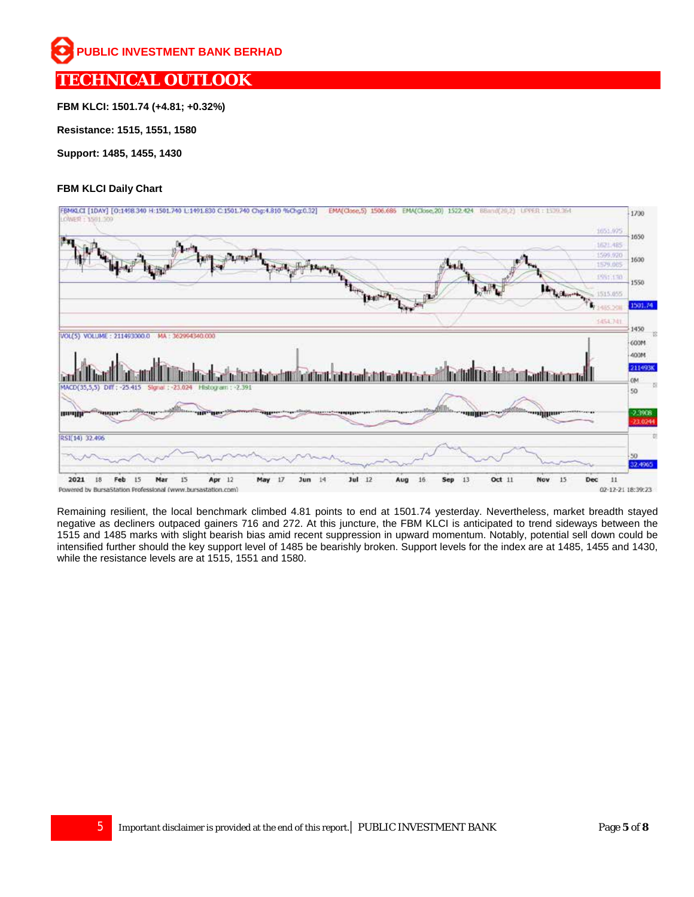# **TECHNICAL OUTLOOK**

**FBM KLCI: 1501.74 (+4.81; +0.32%)**

**Resistance: 1515, 1551, 1580**

**Support: 1485, 1455, 1430**

## **FBM KLCI Daily Chart**



Remaining resilient, the local benchmark climbed 4.81 points to end at 1501.74 yesterday. Nevertheless, market breadth stayed negative as decliners outpaced gainers 716 and 272. At this juncture, the FBM KLCI is anticipated to trend sideways between the 1515 and 1485 marks with slight bearish bias amid recent suppression in upward momentum. Notably, potential sell down could be intensified further should the key support level of 1485 be bearishly broken. Support levels for the index are at 1485, 1455 and 1430, while the resistance levels are at 1515, 1551 and 1580.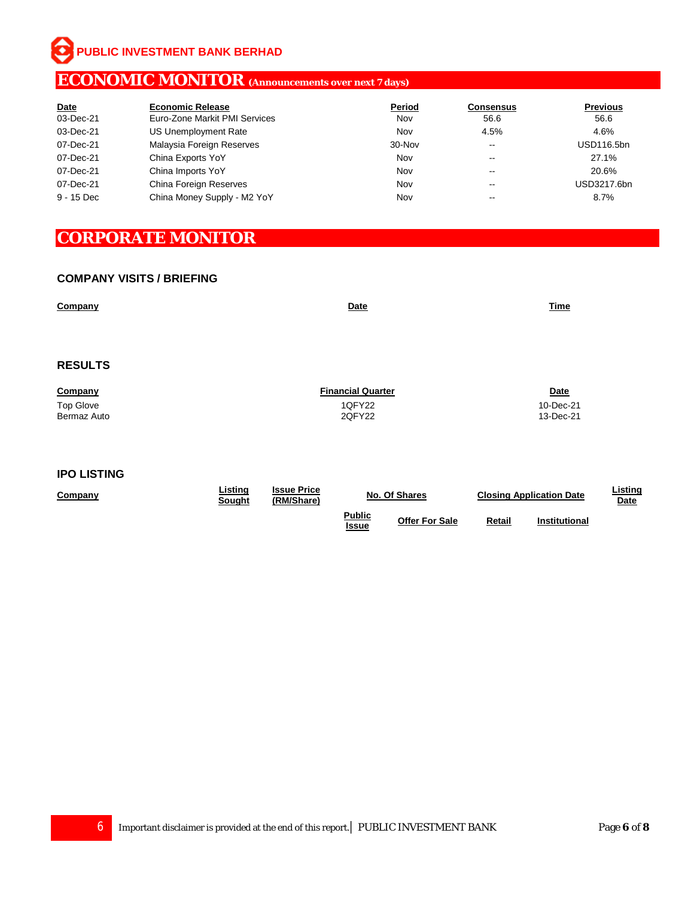**PUBLIC INVESTMENT BANK BERHAD**

# **ECONOMIC MONITOR (Announcements over next 7 days)**

| <b>Date</b> | <b>Economic Release</b>       | Period | <b>Consensus</b>         | <b>Previous</b>   |
|-------------|-------------------------------|--------|--------------------------|-------------------|
| 03-Dec-21   | Euro-Zone Markit PMI Services | Nov    | 56.6                     | 56.6              |
| 03-Dec-21   | US Unemployment Rate          | Nov    | 4.5%                     | 4.6%              |
| 07-Dec-21   | Malaysia Foreign Reserves     | 30-Nov | $\overline{\phantom{m}}$ | <b>USD116.5bn</b> |
| 07-Dec-21   | China Exports YoY             | Nov    | $\overline{\phantom{m}}$ | 27.1%             |
| 07-Dec-21   | China Imports YoY             | Nov    | $- -$                    | 20.6%             |
| 07-Dec-21   | China Foreign Reserves        | Nov    | $\overline{\phantom{m}}$ | USD3217.6bn       |
| 9 - 15 Dec  | China Money Supply - M2 YoY   | Nov    | $\overline{\phantom{m}}$ | 8.7%              |

# **CORPORATE MONITOR**

### **COMPANY VISITS / BRIEFING**

| Company        | <b>Date</b>              | <b>Time</b> |
|----------------|--------------------------|-------------|
|                |                          |             |
|                |                          |             |
|                |                          |             |
| <b>RESULTS</b> |                          |             |
|                |                          |             |
| Company        | <b>Financial Quarter</b> | <b>Date</b> |
| Top Glove      | 1QFY22                   | 10-Dec-21   |
| Bermaz Auto    | 2QFY22                   | 13-Dec-21   |
|                |                          |             |

### **IPO LISTING**

| Company | ∟istinq<br><u>Sought</u> | <b>Issue Price</b><br>'RM/Share) | No. Of Shares          |                       | <b>Closing Application Date</b> |                      | ∟isting<br><u>Date</u> |
|---------|--------------------------|----------------------------------|------------------------|-----------------------|---------------------------------|----------------------|------------------------|
|         |                          |                                  | <b>Public</b><br>Issue | <b>Offer For Sale</b> | Retail                          | <b>Institutional</b> |                        |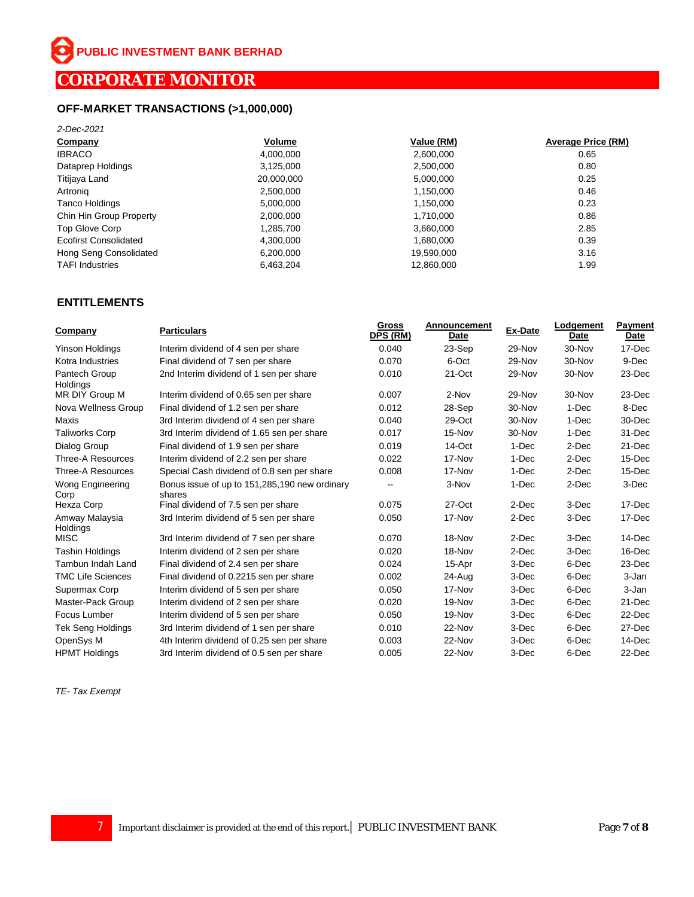# **OFF-MARKET TRANSACTIONS (>1,000,000)**

| 2-Dec-2021                   |            |            |                    |
|------------------------------|------------|------------|--------------------|
| Company                      | Volume     | Value (RM) | Average Price (RM) |
| <b>IBRACO</b>                | 4,000,000  | 2,600,000  | 0.65               |
| Dataprep Holdings            | 3,125,000  | 2,500,000  | 0.80               |
| Titijaya Land                | 20,000,000 | 5,000,000  | 0.25               |
| Artronig                     | 2,500,000  | 1,150,000  | 0.46               |
| <b>Tanco Holdings</b>        | 5.000.000  | 1,150,000  | 0.23               |
| Chin Hin Group Property      | 2,000,000  | 1,710,000  | 0.86               |
| Top Glove Corp               | 1,285,700  | 3,660,000  | 2.85               |
| <b>Ecofirst Consolidated</b> | 4.300.000  | 1.680.000  | 0.39               |
| Hong Seng Consolidated       | 6,200,000  | 19,590,000 | 3.16               |
| <b>TAFI</b> Industries       | 6.463.204  | 12.860.000 | 1.99               |

### **ENTITLEMENTS**

| Company                    | <b>Particulars</b>                                      | <b>Gross</b><br>DPS (RM) | <b>Announcement</b><br>Date | Ex-Date | Lodgement<br>Date | <b>Payment</b><br>Date |
|----------------------------|---------------------------------------------------------|--------------------------|-----------------------------|---------|-------------------|------------------------|
| Yinson Holdings            | Interim dividend of 4 sen per share                     | 0.040                    | 23-Sep                      | 29-Nov  | 30-Nov            | 17-Dec                 |
| Kotra Industries           | Final dividend of 7 sen per share                       | 0.070                    | 6-Oct                       | 29-Nov  | 30-Nov            | 9-Dec                  |
| Pantech Group<br>Holdings  | 2nd Interim dividend of 1 sen per share                 | 0.010                    | 21-Oct                      | 29-Nov  | 30-Nov            | 23-Dec                 |
| MR DIY Group M             | Interim dividend of 0.65 sen per share                  | 0.007                    | 2-Nov                       | 29-Nov  | 30-Nov            | $23$ -Dec              |
| Nova Wellness Group        | Final dividend of 1.2 sen per share                     | 0.012                    | 28-Sep                      | 30-Nov  | 1-Dec             | 8-Dec                  |
| Maxis                      | 3rd Interim dividend of 4 sen per share                 | 0.040                    | 29-Oct                      | 30-Nov  | 1-Dec             | 30-Dec                 |
| <b>Taliworks Corp</b>      | 3rd Interim dividend of 1.65 sen per share              | 0.017                    | 15-Nov                      | 30-Nov  | 1-Dec             | 31-Dec                 |
| Dialog Group               | Final dividend of 1.9 sen per share                     | 0.019                    | 14-Oct                      | 1-Dec   | 2-Dec             | 21-Dec                 |
| <b>Three-A Resources</b>   | Interim dividend of 2.2 sen per share                   | 0.022                    | 17-Nov                      | 1-Dec   | 2-Dec             | 15-Dec                 |
| <b>Three-A Resources</b>   | Special Cash dividend of 0.8 sen per share              | 0.008                    | 17-Nov                      | 1-Dec   | 2-Dec             | 15-Dec                 |
| Wong Engineering<br>Corp   | Bonus issue of up to 151,285,190 new ordinary<br>shares | --                       | 3-Nov                       | 1-Dec   | 2-Dec             | 3-Dec                  |
| Hexza Corp                 | Final dividend of 7.5 sen per share                     | 0.075                    | 27-Oct                      | 2-Dec   | 3-Dec             | 17-Dec                 |
| Amway Malaysia<br>Holdings | 3rd Interim dividend of 5 sen per share                 | 0.050                    | 17-Nov                      | 2-Dec   | 3-Dec             | 17-Dec                 |
| <b>MISC</b>                | 3rd Interim dividend of 7 sen per share                 | 0.070                    | 18-Nov                      | 2-Dec   | 3-Dec             | 14-Dec                 |
| <b>Tashin Holdings</b>     | Interim dividend of 2 sen per share                     | 0.020                    | 18-Nov                      | 2-Dec   | 3-Dec             | 16-Dec                 |
| <b>Tambun Indah Land</b>   | Final dividend of 2.4 sen per share                     | 0.024                    | 15-Apr                      | 3-Dec   | 6-Dec             | 23-Dec                 |
| <b>TMC Life Sciences</b>   | Final dividend of 0.2215 sen per share                  | 0.002                    | 24-Aug                      | 3-Dec   | 6-Dec             | 3-Jan                  |
| Supermax Corp              | Interim dividend of 5 sen per share                     | 0.050                    | 17-Nov                      | 3-Dec   | 6-Dec             | 3-Jan                  |
| Master-Pack Group          | Interim dividend of 2 sen per share                     | 0.020                    | 19-Nov                      | 3-Dec   | 6-Dec             | 21-Dec                 |
| Focus Lumber               | Interim dividend of 5 sen per share                     | 0.050                    | 19-Nov                      | 3-Dec   | 6-Dec             | $22$ -Dec              |
| <b>Tek Seng Holdings</b>   | 3rd Interim dividend of 1 sen per share                 | 0.010                    | 22-Nov                      | 3-Dec   | 6-Dec             | 27-Dec                 |
| OpenSys M                  | 4th Interim dividend of 0.25 sen per share              | 0.003                    | 22-Nov                      | 3-Dec   | 6-Dec             | 14-Dec                 |
| <b>HPMT Holdings</b>       | 3rd Interim dividend of 0.5 sen per share               | 0.005                    | 22-Nov                      | 3-Dec   | 6-Dec             | 22-Dec                 |